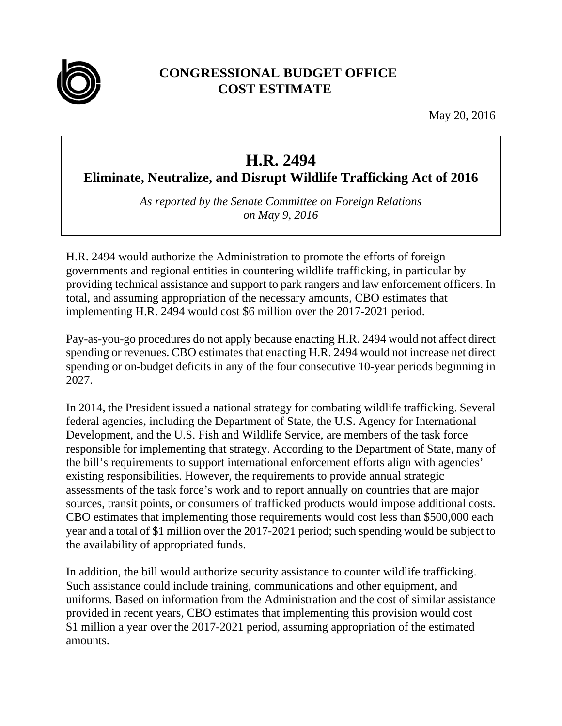

## **CONGRESSIONAL BUDGET OFFICE COST ESTIMATE**

May 20, 2016

## **H.R. 2494**

**Eliminate, Neutralize, and Disrupt Wildlife Trafficking Act of 2016**

*As reported by the Senate Committee on Foreign Relations on May 9, 2016* 

H.R. 2494 would authorize the Administration to promote the efforts of foreign governments and regional entities in countering wildlife trafficking, in particular by providing technical assistance and support to park rangers and law enforcement officers. In total, and assuming appropriation of the necessary amounts, CBO estimates that implementing H.R. 2494 would cost \$6 million over the 2017-2021 period.

Pay-as-you-go procedures do not apply because enacting H.R. 2494 would not affect direct spending or revenues. CBO estimates that enacting H.R. 2494 would not increase net direct spending or on-budget deficits in any of the four consecutive 10-year periods beginning in 2027.

In 2014, the President issued a national strategy for combating wildlife trafficking. Several federal agencies, including the Department of State, the U.S. Agency for International Development, and the U.S. Fish and Wildlife Service, are members of the task force responsible for implementing that strategy. According to the Department of State, many of the bill's requirements to support international enforcement efforts align with agencies' existing responsibilities. However, the requirements to provide annual strategic assessments of the task force's work and to report annually on countries that are major sources, transit points, or consumers of trafficked products would impose additional costs. CBO estimates that implementing those requirements would cost less than \$500,000 each year and a total of \$1 million over the 2017-2021 period; such spending would be subject to the availability of appropriated funds.

In addition, the bill would authorize security assistance to counter wildlife trafficking. Such assistance could include training, communications and other equipment, and uniforms. Based on information from the Administration and the cost of similar assistance provided in recent years, CBO estimates that implementing this provision would cost \$1 million a year over the 2017-2021 period, assuming appropriation of the estimated amounts.